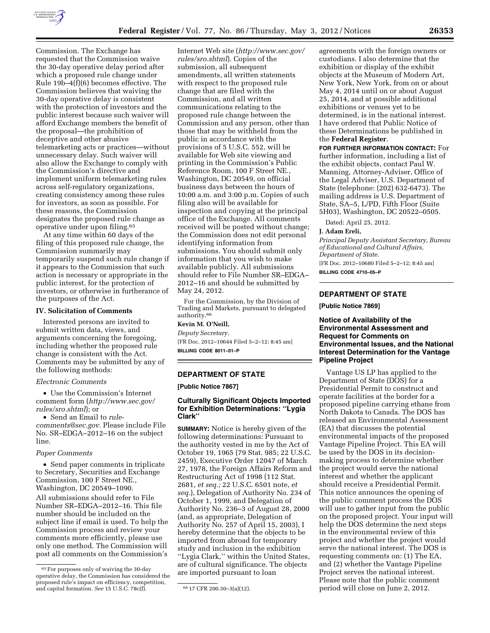

Commission. The Exchange has requested that the Commission waive the 30-day operative delay period after which a proposed rule change under Rule 19b–4(f)(6) becomes effective. The Commission believes that waiving the 30-day operative delay is consistent with the protection of investors and the public interest because such waiver will afford Exchange members the benefit of the proposal—the prohibition of deceptive and other abusive telemarketing acts or practices—without unnecessary delay. Such waiver will also allow the Exchange to comply with the Commission's directive and implement uniform telemarketing rules across self-regulatory organizations, creating consistency among these rules

for investors, as soon as possible. For these reasons, the Commission designates the proposed rule change as operative under upon filing.65 At any time within 60 days of the

filing of this proposed rule change, the Commission summarily may temporarily suspend such rule change if it appears to the Commission that such action is necessary or appropriate in the public interest, for the protection of investors, or otherwise in furtherance of the purposes of the Act.

### **IV. Solicitation of Comments**

Interested persons are invited to submit written data, views, and arguments concerning the foregoing, including whether the proposed rule change is consistent with the Act. Comments may be submitted by any of the following methods:

### *Electronic Comments*

• Use the Commission's Internet comment form (*[http://www.sec.gov/](http://www.sec.gov/rules/sro.shtml)  [rules/sro.shtml](http://www.sec.gov/rules/sro.shtml)*); or

• Send an Email to *[rule](mailto:rule-comments@sec.gov)[comments@sec.gov.](mailto:rule-comments@sec.gov)* Please include File No. SR–EDGA–2012–16 on the subject line.

#### *Paper Comments*

• Send paper comments in triplicate to Secretary, Securities and Exchange Commission, 100 F Street NE., Washington, DC 20549–1090. All submissions should refer to File Number SR–EDGA–2012–16. This file number should be included on the subject line if email is used. To help the Commission process and review your comments more efficiently, please use only one method. The Commission will post all comments on the Commission's

Internet Web site (*[http://www.sec.gov/](http://www.sec.gov/rules/sro.shtml)  [rules/sro.shtml](http://www.sec.gov/rules/sro.shtml)*). Copies of the submission, all subsequent amendments, all written statements with respect to the proposed rule change that are filed with the Commission, and all written communications relating to the proposed rule change between the Commission and any person, other than those that may be withheld from the public in accordance with the provisions of 5 U.S.C. 552, will be available for Web site viewing and printing in the Commission's Public Reference Room, 100 F Street NE., Washington, DC 20549, on official business days between the hours of 10:00 a.m. and 3:00 p.m. Copies of such filing also will be available for inspection and copying at the principal office of the Exchange. All comments received will be posted without change; the Commission does not edit personal identifying information from submissions. You should submit only information that you wish to make available publicly. All submissions should refer to File Number SR–EDGA– 2012–16 and should be submitted by May 24, 2012.

For the Commission, by the Division of Trading and Markets, pursuant to delegated authority.66

#### **Kevin M. O'Neill,**

*Deputy Secretary.*  [FR Doc. 2012–10644 Filed 5–2–12; 8:45 am] **BILLING CODE 8011–01–P** 

# **DEPARTMENT OF STATE**

**[Public Notice 7867]** 

# **Culturally Significant Objects Imported for Exhibition Determinations: ''Lygia Clark''**

**SUMMARY:** Notice is hereby given of the following determinations: Pursuant to the authority vested in me by the Act of October 19, 1965 (79 Stat. 985; 22 U.S.C. 2459), Executive Order 12047 of March 27, 1978, the Foreign Affairs Reform and Restructuring Act of 1998 (112 Stat. 2681, *et seq.;* 22 U.S.C. 6501 note, *et seq.*), Delegation of Authority No. 234 of October 1, 1999, and Delegation of Authority No. 236–3 of August 28, 2000 (and, as appropriate, Delegation of Authority No. 257 of April 15, 2003), I hereby determine that the objects to be imported from abroad for temporary study and inclusion in the exhibition ''Lygia Clark,'' within the United States, are of cultural significance. The objects are imported pursuant to loan

agreements with the foreign owners or custodians. I also determine that the exhibition or display of the exhibit objects at the Museum of Modern Art, New York, New York, from on or about May 4, 2014 until on or about August 25, 2014, and at possible additional exhibitions or venues yet to be determined, is in the national interest. I have ordered that Public Notice of these Determinations be published in the **Federal Register**.

**FOR FURTHER INFORMATION CONTACT:** For further information, including a list of the exhibit objects, contact Paul W. Manning, Attorney-Adviser, Office of the Legal Adviser, U.S. Department of State (telephone: (202) 632-6473). The mailing address is U.S. Department of State, SA–5, L/PD, Fifth Floor (Suite 5H03), Washington, DC 20522–0505.

Dated: April 25, 2012.

#### **J. Adam Ereli,**

*Principal Deputy Assistant Secretary, Bureau of Educational and Cultural Affairs, Department of State.* 

[FR Doc. 2012–10680 Filed 5–2–12; 8:45 am] **BILLING CODE 4710–05–P** 

# **DEPARTMENT OF STATE**

**[Public Notice 7869]** 

# **Notice of Availability of the Environmental Assessment and Request for Comments on Environmental Issues, and the National Interest Determination for the Vantage Pipeline Project**

Vantage US LP has applied to the Department of State (DOS) for a Presidential Permit to construct and operate facilities at the border for a proposed pipeline carrying ethane from North Dakota to Canada. The DOS has released an Environmental Assessment (EA) that discusses the potential environmental impacts of the proposed Vantage Pipeline Project. This EA will be used by the DOS in its decisionmaking process to determine whether the project would serve the national interest and whether the applicant should receive a Presidential Permit. This notice announces the opening of the public comment process the DOS will use to gather input from the public on the proposed project. Your input will help the DOS determine the next steps in the environmental review of this project and whether the project would serve the national interest. The DOS is requesting comments on: (1) The EA, and (2) whether the Vantage Pipeline Project serves the national interest. Please note that the public comment period will close on June 2, 2012.

<sup>65</sup>For purposes only of waiving the 30-day operative delay, the Commission has considered the proposed rule's impact on efficiency, competition, and capital formation. *See* 15 U.S.C. 78c(f). 66 17 CFR 200.30-3(a)(12).